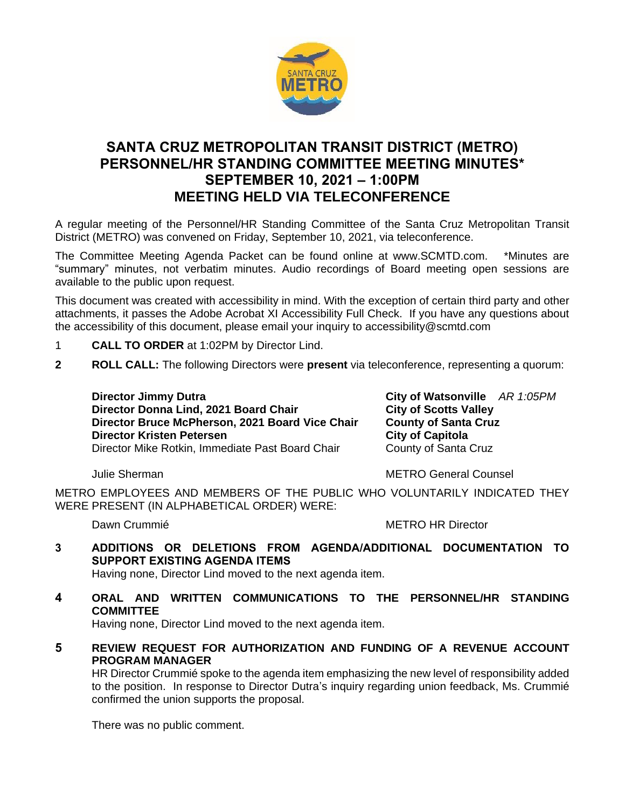

# **SANTA CRUZ METROPOLITAN TRANSIT DISTRICT (METRO) PERSONNEL/HR STANDING COMMITTEE MEETING MINUTES\* SEPTEMBER 10, 2021 – 1:00PM MEETING HELD VIA TELECONFERENCE**

A regular meeting of the Personnel/HR Standing Committee of the Santa Cruz Metropolitan Transit District (METRO) was convened on Friday, September 10, 2021, via teleconference.

The Committee Meeting Agenda Packet can be found online at www.SCMTD.com. \*Minutes are "summary" minutes, not verbatim minutes. Audio recordings of Board meeting open sessions are available to the public upon request.

This document was created with accessibility in mind. With the exception of certain third party and other attachments, it passes the Adobe Acrobat XI Accessibility Full Check. If you have any questions about the accessibility of this document, please email your inquiry to accessibility@scmtd.com

- 1 **CALL TO ORDER** at 1:02PM by Director Lind.
- **2 ROLL CALL:** The following Directors were **present** via teleconference, representing a quorum:

**Director Jimmy Dutra City of Watsonville** *AR 1:05PM*<br>Director Donna Lind, 2021 Board Chair **City of Scotts Valley Director Donna Lind, 2021 Board Chair Francist City of Scotts Valley<br>Director Bruce McPherson, 2021 Board Vice Chair Francish County of Santa Cruz Director Bruce McPherson, 2021 Board Vice Chair Director Kristen Petersen City of Capitola** Director Mike Rotkin, Immediate Past Board Chair County of Santa Cruz

Julie Sherman METRO General Counsel

METRO EMPLOYEES AND MEMBERS OF THE PUBLIC WHO VOLUNTARILY INDICATED THEY WERE PRESENT (IN ALPHABETICAL ORDER) WERE:

Dawn Crummié **METRO HR Director** 

**3 ADDITIONS OR DELETIONS FROM AGENDA/ADDITIONAL DOCUMENTATION TO SUPPORT EXISTING AGENDA ITEMS** 

Having none, Director Lind moved to the next agenda item.

**4 ORAL AND WRITTEN COMMUNICATIONS TO THE PERSONNEL/HR STANDING COMMITTEE** 

Having none, Director Lind moved to the next agenda item.

**5 REVIEW REQUEST FOR AUTHORIZATION AND FUNDING OF A REVENUE ACCOUNT PROGRAM MANAGER** 

HR Director Crummié spoke to the agenda item emphasizing the new level of responsibility added to the position. In response to Director Dutra's inquiry regarding union feedback, Ms. Crummié confirmed the union supports the proposal.

There was no public comment.